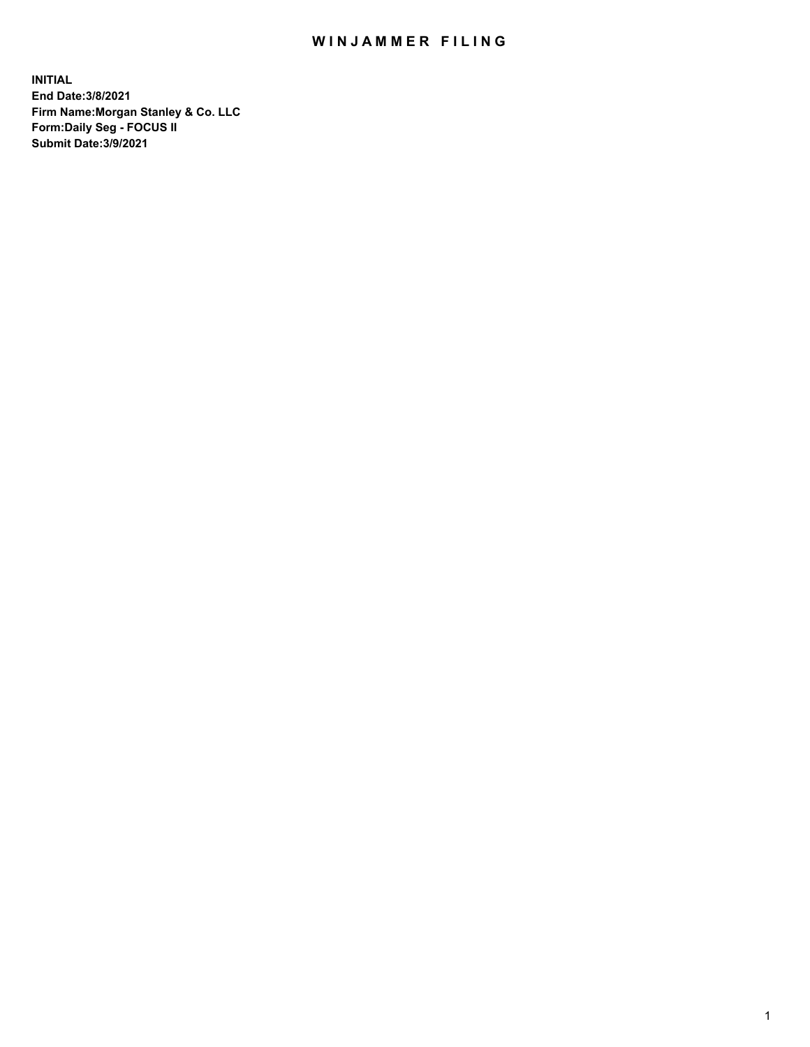## WIN JAMMER FILING

**INITIAL End Date:3/8/2021 Firm Name:Morgan Stanley & Co. LLC Form:Daily Seg - FOCUS II Submit Date:3/9/2021**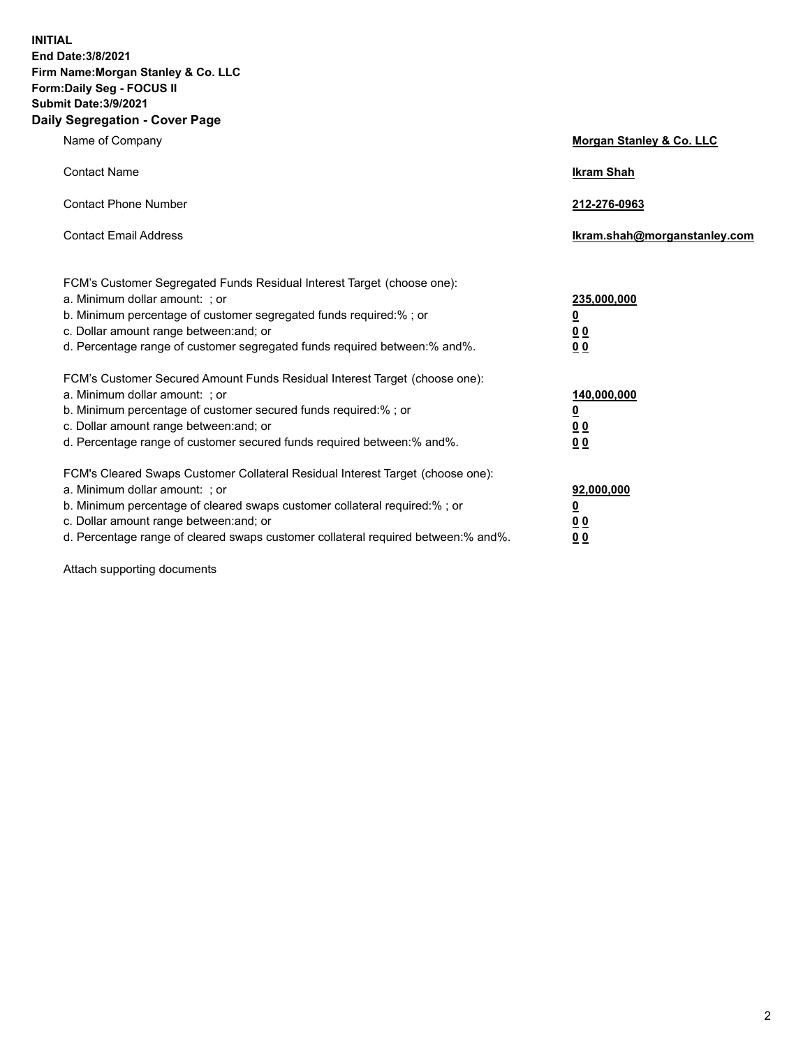**INITIAL End Date:3/8/2021 Firm Name:Morgan Stanley & Co. LLC Form:Daily Seg - FOCUS II Submit Date:3/9/2021 Daily Segregation - Cover Page**

| Name of Company                                                                                                                                                                                                                                                                                                                | Morgan Stanley & Co. LLC                                   |
|--------------------------------------------------------------------------------------------------------------------------------------------------------------------------------------------------------------------------------------------------------------------------------------------------------------------------------|------------------------------------------------------------|
| <b>Contact Name</b>                                                                                                                                                                                                                                                                                                            | <b>Ikram Shah</b>                                          |
| <b>Contact Phone Number</b>                                                                                                                                                                                                                                                                                                    | 212-276-0963                                               |
| <b>Contact Email Address</b>                                                                                                                                                                                                                                                                                                   | lkram.shah@morganstanley.com                               |
| FCM's Customer Segregated Funds Residual Interest Target (choose one):<br>a. Minimum dollar amount: ; or<br>b. Minimum percentage of customer segregated funds required:% ; or<br>c. Dollar amount range between: and; or<br>d. Percentage range of customer segregated funds required between:% and%.                         | 235,000,000<br><u>0</u><br><u>00</u><br>0 <sup>0</sup>     |
| FCM's Customer Secured Amount Funds Residual Interest Target (choose one):<br>a. Minimum dollar amount: ; or<br>b. Minimum percentage of customer secured funds required:%; or<br>c. Dollar amount range between: and; or<br>d. Percentage range of customer secured funds required between:% and%.                            | 140,000,000<br><u>0</u><br><u>0 0</u><br>0 Q               |
| FCM's Cleared Swaps Customer Collateral Residual Interest Target (choose one):<br>a. Minimum dollar amount: ; or<br>b. Minimum percentage of cleared swaps customer collateral required:% ; or<br>c. Dollar amount range between: and; or<br>d. Percentage range of cleared swaps customer collateral required between:% and%. | 92,000,000<br><u>0</u><br>0 <sup>0</sup><br>0 <sub>0</sub> |

Attach supporting documents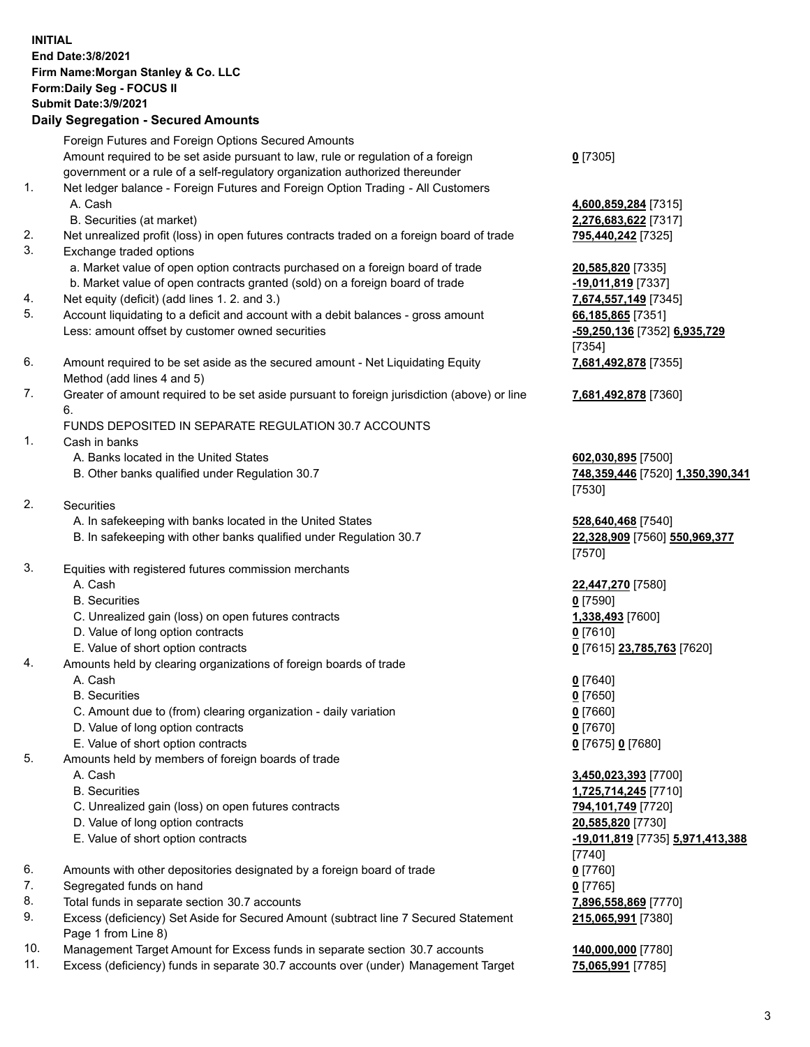## **INITIAL End Date:3/8/2021 Firm Name:Morgan Stanley & Co. LLC Form:Daily Seg - FOCUS II Submit Date:3/9/2021 Daily Segregation - Secured Amounts**

Foreign Futures and Foreign Options Secured Amounts Amount required to be set aside pursuant to law, rule or regulation of a foreign government or a rule of a self-regulatory organization authorized thereunder 1. Net ledger balance - Foreign Futures and Foreign Option Trading - All Customers A. Cash **4,600,859,284** [7315] B. Securities (at market) **2,276,683,622** [7317] 2. Net unrealized profit (loss) in open futures contracts traded on a foreign board of trade **795,440,242** [7325] 3. Exchange traded options a. Market value of open option contracts purchased on a foreign board of trade **20,585,820** [7335] b. Market value of open contracts granted (sold) on a foreign board of trade **-19,011,819** [7337] 4. Net equity (deficit) (add lines 1. 2. and 3.) **7,674,557,149** [7345] 5. Account liquidating to a deficit and account with a debit balances - gross amount **66,185,865** [7351] Less: amount offset by customer owned securities **-59,250,136** [7352] **6,935,729**

- 6. Amount required to be set aside as the secured amount Net Liquidating Equity Method (add lines 4 and 5)
- 7. Greater of amount required to be set aside pursuant to foreign jurisdiction (above) or line 6.

## FUNDS DEPOSITED IN SEPARATE REGULATION 30.7 ACCOUNTS

- 1. Cash in banks
	- A. Banks located in the United States **602,030,895** [7500]
	- B. Other banks qualified under Regulation 30.7 **748,359,446** [7520] **1,350,390,341**
- 2. Securities
	- A. In safekeeping with banks located in the United States **528,640,468** [7540]
	- B. In safekeeping with other banks qualified under Regulation 30.7 **22,328,909** [7560] **550,969,377**
- 3. Equities with registered futures commission merchants
	-
	- B. Securities **0** [7590]
	- C. Unrealized gain (loss) on open futures contracts **1,338,493** [7600]
	- D. Value of long option contracts **0** [7610]
	- E. Value of short option contracts **0** [7615] **23,785,763** [7620]
- 4. Amounts held by clearing organizations of foreign boards of trade
	-
	- B. Securities **0** [7650]
	- C. Amount due to (from) clearing organization daily variation **0** [7660]
	- D. Value of long option contracts **0** [7670]
	- E. Value of short option contracts **0** [7675] **0** [7680]
- 5. Amounts held by members of foreign boards of trade
	-
	-
	- C. Unrealized gain (loss) on open futures contracts **794,101,749** [7720]
	- D. Value of long option contracts **20,585,820** [7730]
	- E. Value of short option contracts **-19,011,819** [7735] **5,971,413,388**
- 6. Amounts with other depositories designated by a foreign board of trade **0** [7760]
- 7. Segregated funds on hand **0** [7765]
- 8. Total funds in separate section 30.7 accounts **7,896,558,869** [7770]
- 9. Excess (deficiency) Set Aside for Secured Amount (subtract line 7 Secured Statement Page 1 from Line 8)
- 10. Management Target Amount for Excess funds in separate section 30.7 accounts **140,000,000** [7780]
- 11. Excess (deficiency) funds in separate 30.7 accounts over (under) Management Target **75,065,991** [7785]

**0** [7305]

[7354] **7,681,492,878** [7355]

**7,681,492,878** [7360]

[7530]

[7570]

A. Cash **22,447,270** [7580]

A. Cash **0** [7640]

 A. Cash **3,450,023,393** [7700] B. Securities **1,725,714,245** [7710] [7740] **215,065,991** [7380]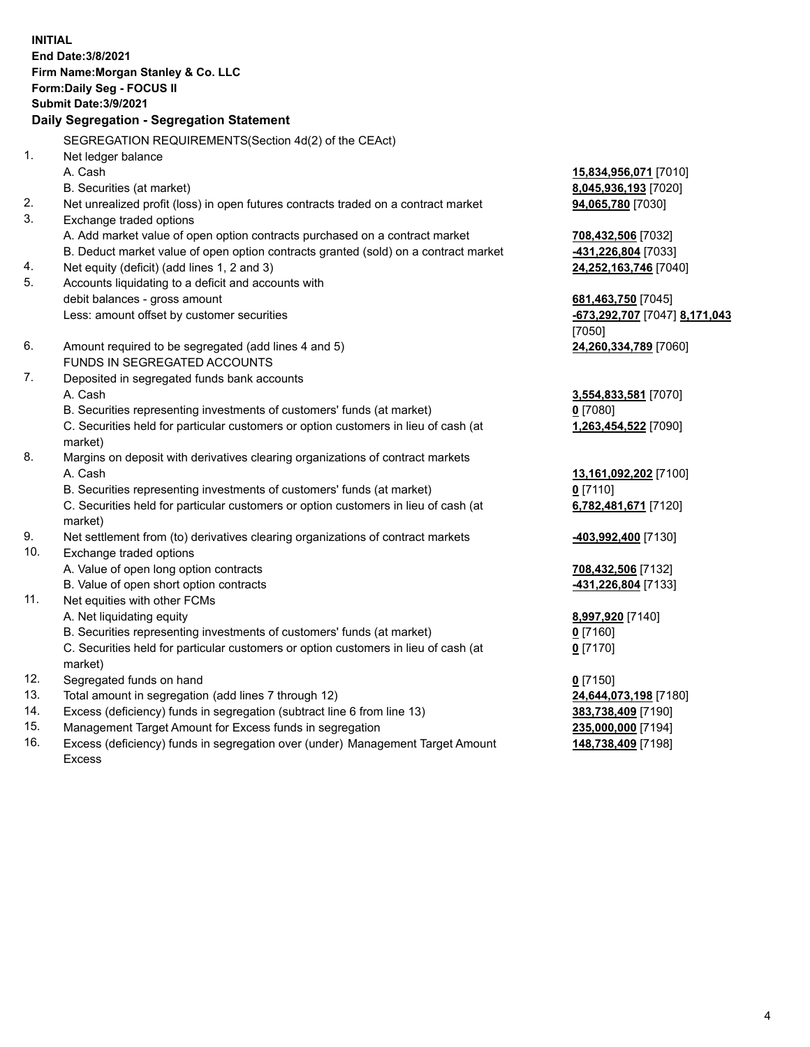|          | <b>INITIAL</b><br>End Date: 3/8/2021<br>Firm Name: Morgan Stanley & Co. LLC<br>Form: Daily Seg - FOCUS II<br><b>Submit Date: 3/9/2021</b><br>Daily Segregation - Segregation Statement |                               |
|----------|----------------------------------------------------------------------------------------------------------------------------------------------------------------------------------------|-------------------------------|
|          | SEGREGATION REQUIREMENTS(Section 4d(2) of the CEAct)                                                                                                                                   |                               |
| 1.       | Net ledger balance                                                                                                                                                                     |                               |
|          | A. Cash                                                                                                                                                                                | 15,834,956,071 [7010]         |
|          | B. Securities (at market)                                                                                                                                                              | 8,045,936,193 [7020]          |
| 2.       | Net unrealized profit (loss) in open futures contracts traded on a contract market                                                                                                     | 94,065,780 [7030]             |
| 3.       | Exchange traded options                                                                                                                                                                |                               |
|          | A. Add market value of open option contracts purchased on a contract market                                                                                                            | 708,432,506 [7032]            |
|          | B. Deduct market value of open option contracts granted (sold) on a contract market                                                                                                    | 431,226,804 [7033]            |
| 4.<br>5. | Net equity (deficit) (add lines 1, 2 and 3)                                                                                                                                            | 24,252,163,746 [7040]         |
|          | Accounts liquidating to a deficit and accounts with<br>debit balances - gross amount                                                                                                   | 681,463,750 [7045]            |
|          | Less: amount offset by customer securities                                                                                                                                             | -673,292,707 [7047] 8,171,043 |
|          |                                                                                                                                                                                        | [7050]                        |
| 6.       | Amount required to be segregated (add lines 4 and 5)                                                                                                                                   | 24,260,334,789 [7060]         |
|          | FUNDS IN SEGREGATED ACCOUNTS                                                                                                                                                           |                               |
| 7.       | Deposited in segregated funds bank accounts                                                                                                                                            |                               |
|          | A. Cash                                                                                                                                                                                | 3,554,833,581 [7070]          |
|          | B. Securities representing investments of customers' funds (at market)                                                                                                                 | $0$ [7080]                    |
|          | C. Securities held for particular customers or option customers in lieu of cash (at<br>market)                                                                                         | 1,263,454,522 [7090]          |
| 8.       | Margins on deposit with derivatives clearing organizations of contract markets                                                                                                         |                               |
|          | A. Cash                                                                                                                                                                                | 13,161,092,202 [7100]         |
|          | B. Securities representing investments of customers' funds (at market)                                                                                                                 | $0$ [7110]                    |
|          | C. Securities held for particular customers or option customers in lieu of cash (at<br>market)                                                                                         | 6,782,481,671 [7120]          |
| 9.       | Net settlement from (to) derivatives clearing organizations of contract markets                                                                                                        | -403,992,400 [7130]           |
| 10.      | Exchange traded options                                                                                                                                                                |                               |
|          | A. Value of open long option contracts                                                                                                                                                 | 708,432,506 [7132]            |
|          | B. Value of open short option contracts                                                                                                                                                | 431,226,804 [7133]            |
| 11.      | Net equities with other FCMs                                                                                                                                                           |                               |
|          | A. Net liquidating equity                                                                                                                                                              | 8,997,920 [7140]              |
|          | B. Securities representing investments of customers' funds (at market)                                                                                                                 | $0$ [7160]                    |
|          | C. Securities held for particular customers or option customers in lieu of cash (at<br>market)                                                                                         | $0$ [7170]                    |
| 12.      | Segregated funds on hand                                                                                                                                                               | $0$ [7150]                    |
| 13.      | Total amount in segregation (add lines 7 through 12)                                                                                                                                   | 24,644,073,198 [7180]         |
| 14.      | Excess (deficiency) funds in segregation (subtract line 6 from line 13)                                                                                                                | 383,738,409 [7190]            |
| 15.      | Management Target Amount for Excess funds in segregation                                                                                                                               | 235,000,000 [7194]            |
| 16.      | Excess (deficiency) funds in segregation over (under) Management Target Amount                                                                                                         | 148,738,409 [7198]            |

15. Management Target Amount for Excess funds in segregation<br>16. Excess (deficiency) funds in segregation over (under) Manag Excess (deficiency) funds in segregation over (under) Management Target Amount Excess